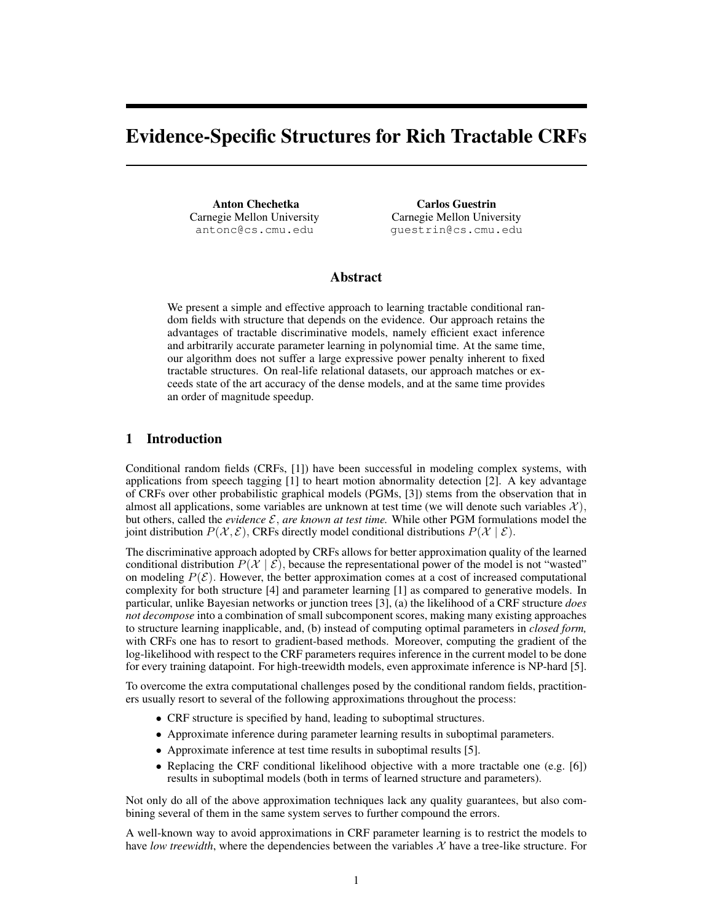# Evidence-Specific Structures for Rich Tractable CRFs

Anton Chechetka Carnegie Mellon University antonc@cs.cmu.edu

Carlos Guestrin Carnegie Mellon University guestrin@cs.cmu.edu

# Abstract

We present a simple and effective approach to learning tractable conditional random fields with structure that depends on the evidence. Our approach retains the advantages of tractable discriminative models, namely efficient exact inference and arbitrarily accurate parameter learning in polynomial time. At the same time, our algorithm does not suffer a large expressive power penalty inherent to fixed tractable structures. On real-life relational datasets, our approach matches or exceeds state of the art accuracy of the dense models, and at the same time provides an order of magnitude speedup.

## 1 Introduction

Conditional random fields (CRFs, [1]) have been successful in modeling complex systems, with applications from speech tagging [1] to heart motion abnormality detection [2]. A key advantage of CRFs over other probabilistic graphical models (PGMs, [3]) stems from the observation that in almost all applications, some variables are unknown at test time (we will denote such variables  $\mathcal{X}$ ), but others, called the *evidence*  $\mathcal{E}$ , *are known at test time.* While other PGM formulations model the joint distribution  $P(\mathcal{X}, \mathcal{E})$ , CRFs directly model conditional distributions  $P(\mathcal{X} | \mathcal{E})$ .

The discriminative approach adopted by CRFs allows for better approximation quality of the learned conditional distribution  $P(\mathcal{X} | \mathcal{E})$ , because the representational power of the model is not "wasted" on modeling  $P(\mathcal{E})$ . However, the better approximation comes at a cost of increased computational complexity for both structure [4] and parameter learning [1] as compared to generative models. In particular, unlike Bayesian networks or junction trees [3], (a) the likelihood of a CRF structure *does not decompose* into a combination of small subcomponent scores, making many existing approaches to structure learning inapplicable, and, (b) instead of computing optimal parameters in *closed form,* with CRFs one has to resort to gradient-based methods. Moreover, computing the gradient of the log-likelihood with respect to the CRF parameters requires inference in the current model to be done for every training datapoint. For high-treewidth models, even approximate inference is NP-hard [5].

To overcome the extra computational challenges posed by the conditional random fields, practitioners usually resort to several of the following approximations throughout the process:

- CRF structure is specified by hand, leading to suboptimal structures.
- Approximate inference during parameter learning results in suboptimal parameters.
- Approximate inference at test time results in suboptimal results [5].
- Replacing the CRF conditional likelihood objective with a more tractable one (e.g. [6]) results in suboptimal models (both in terms of learned structure and parameters).

Not only do all of the above approximation techniques lack any quality guarantees, but also combining several of them in the same system serves to further compound the errors.

A well-known way to avoid approximations in CRF parameter learning is to restrict the models to have *low treewidth*, where the dependencies between the variables  $X$  have a tree-like structure. For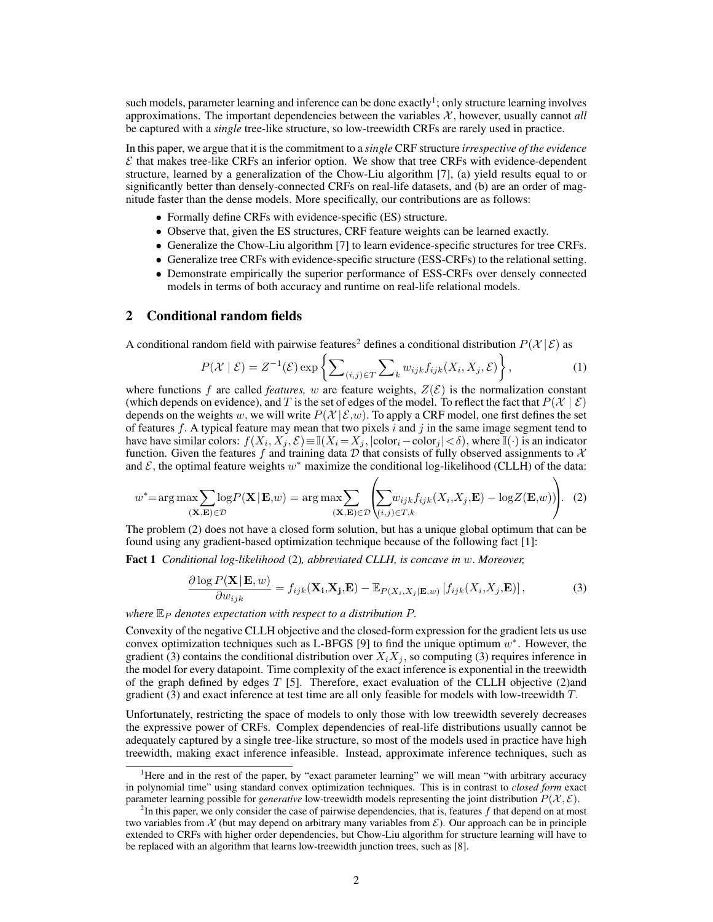such models, parameter learning and inference can be done exactly<sup>1</sup>; only structure learning involves approximations. The important dependencies between the variables  $X$ , however, usually cannot *all* be captured with a *single* tree-like structure, so low-treewidth CRFs are rarely used in practice.

In this paper, we argue that it is the commitment to a *single* CRF structure *irrespective of the evidence*  $\mathcal E$  that makes tree-like CRFs an inferior option. We show that tree CRFs with evidence-dependent structure, learned by a generalization of the Chow-Liu algorithm [7], (a) yield results equal to or significantly better than densely-connected CRFs on real-life datasets, and (b) are an order of magnitude faster than the dense models. More specifically, our contributions are as follows:

- Formally define CRFs with evidence-specific (ES) structure.
- Observe that, given the ES structures, CRF feature weights can be learned exactly.
- Generalize the Chow-Liu algorithm [7] to learn evidence-specific structures for tree CRFs.
- Generalize tree CRFs with evidence-specific structure (ESS-CRFs) to the relational setting.
- Demonstrate empirically the superior performance of ESS-CRFs over densely connected models in terms of both accuracy and runtime on real-life relational models.

### 2 Conditional random fields

A conditional random field with pairwise features<sup>2</sup> defines a conditional distribution  $P(X | \mathcal{E})$  as

$$
P(\mathcal{X} \mid \mathcal{E}) = Z^{-1}(\mathcal{E}) \exp \left\{ \sum_{(i,j) \in T} \sum_{k} w_{ijk} f_{ijk}(X_i, X_j, \mathcal{E}) \right\},\tag{1}
$$

where functions f are called *features*, w are feature weights,  $Z(\mathcal{E})$  is the normalization constant (which depends on evidence), and T is the set of edges of the model. To reflect the fact that  $P(\mathcal{X} \mid \mathcal{E})$ depends on the weights w, we will write  $P(\mathcal{X} | \mathcal{E}, w)$ . To apply a CRF model, one first defines the set of features f. A typical feature may mean that two pixels i and j in the same image segment tend to have have similar colors:  $f(X_i, X_j, \mathcal{E}) \equiv \mathbb{I}(X_i = X_j, |\text{color}_i-\text{color}_j| < \delta)$ , where  $\mathbb{I}(\cdot)$  is an indicator function. Given the features f and training data  $\overline{D}$  that consists of fully observed assignments to  $\mathcal{X}$ and  $\mathcal{E}$ , the optimal feature weights  $w^*$  maximize the conditional log-likelihood (CLLH) of the data:

$$
w^* = \arg \max \sum_{(\mathbf{X}, \mathbf{E}) \in \mathcal{D}} \log P(\mathbf{X} | \mathbf{E}, w) = \arg \max \sum_{(\mathbf{X}, \mathbf{E}) \in \mathcal{D}} \left( \sum_{(i,j) \in T, k} w_{ijk} f_{ijk}(X_i, X_j, \mathbf{E}) - \log Z(\mathbf{E}, w) \right).
$$
 (2)

The problem (2) does not have a closed form solution, but has a unique global optimum that can be found using any gradient-based optimization technique because of the following fact [1]:

Fact 1 *Conditional log-likelihood* (2)*, abbreviated CLLH, is concave in* w. *Moreover,*

$$
\frac{\partial \log P(\mathbf{X}|\mathbf{E},w)}{\partial w_{ijk}} = f_{ijk}(\mathbf{X_i}, \mathbf{X_j}, \mathbf{E}) - \mathbb{E}_{P(X_i, X_j|\mathbf{E},w)} [f_{ijk}(X_i, X_j, \mathbf{E})],
$$
\n(3)

*where*  $\mathbb{E}_P$  *denotes expectation with respect to a distribution*  $P$ .

Convexity of the negative CLLH objective and the closed-form expression for the gradient lets us use convex optimization techniques such as L-BFGS [9] to find the unique optimum  $w^*$ . However, the gradient (3) contains the conditional distribution over  $X_iX_j$ , so computing (3) requires inference in the model for every datapoint. Time complexity of the exact inference is exponential in the treewidth of the graph defined by edges  $T$  [5]. Therefore, exact evaluation of the CLLH objective (2)and gradient (3) and exact inference at test time are all only feasible for models with low-treewidth T.

Unfortunately, restricting the space of models to only those with low treewidth severely decreases the expressive power of CRFs. Complex dependencies of real-life distributions usually cannot be adequately captured by a single tree-like structure, so most of the models used in practice have high treewidth, making exact inference infeasible. Instead, approximate inference techniques, such as

<sup>&</sup>lt;sup>1</sup>Here and in the rest of the paper, by "exact parameter learning" we will mean "with arbitrary accuracy in polynomial time" using standard convex optimization techniques. This is in contrast to *closed form* exact parameter learning possible for *generative* low-treewidth models representing the joint distribution  $P(X, \mathcal{E})$ .

 ${}^{2}$ In this paper, we only consider the case of pairwise dependencies, that is, features f that depend on at most two variables from X (but may depend on arbitrary many variables from  $\mathcal{E}$ ). Our approach can be in principle extended to CRFs with higher order dependencies, but Chow-Liu algorithm for structure learning will have to be replaced with an algorithm that learns low-treewidth junction trees, such as [8].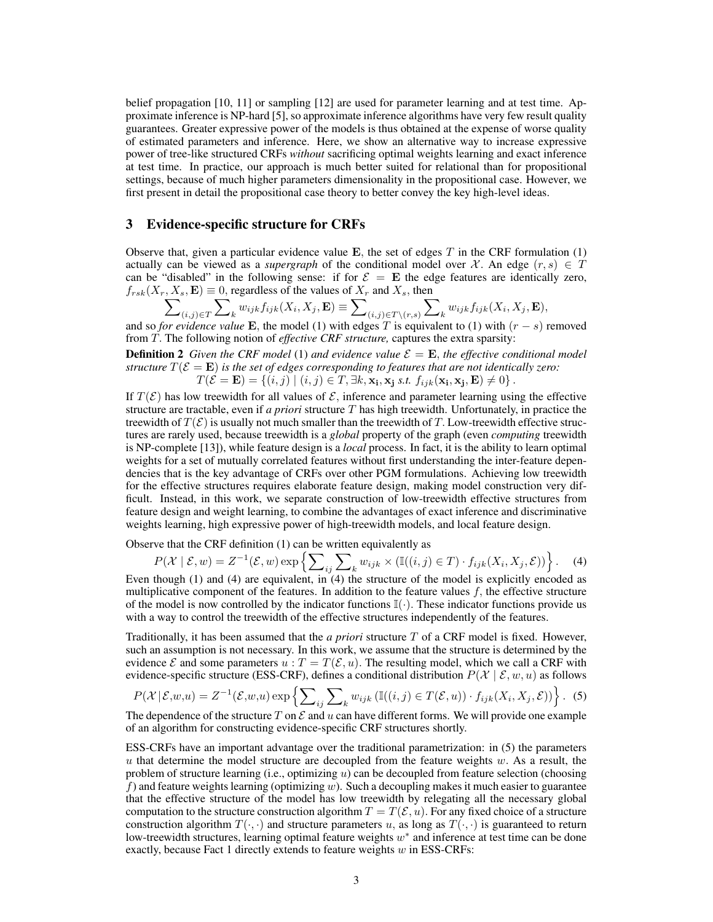belief propagation [10, 11] or sampling [12] are used for parameter learning and at test time. Approximate inference is NP-hard [5], so approximate inference algorithms have very few result quality guarantees. Greater expressive power of the models is thus obtained at the expense of worse quality of estimated parameters and inference. Here, we show an alternative way to increase expressive power of tree-like structured CRFs *without* sacrificing optimal weights learning and exact inference at test time. In practice, our approach is much better suited for relational than for propositional settings, because of much higher parameters dimensionality in the propositional case. However, we first present in detail the propositional case theory to better convey the key high-level ideas.

## 3 Evidence-specific structure for CRFs

Observe that, given a particular evidence value  $E$ , the set of edges T in the CRF formulation (1) actually can be viewed as a *supergraph* of the conditional model over X. An edge  $(r, s) \in T$ can be "disabled" in the following sense: if for  $\mathcal{E} = \mathbf{E}$  the edge features are identically zero,  $f_{rsk}(X_r, X_s, \mathbf{E}) \equiv 0$ , regardless of the values of  $X_r$  and  $X_s$ , then

$$
\sum\nolimits_{(i,j)\in T}\sum\nolimits_k w_{ijk}f_{ijk}(X_i,X_j,\mathbf{E})\equiv\sum\nolimits_{(i,j)\in T\backslash(r,s)}\sum\nolimits_k w_{ijk}f_{ijk}(X_i,X_j,\mathbf{E}),
$$

and so *for evidence value* E, the model (1) with edges T is equivalent to (1) with  $(r - s)$  removed from T. The following notion of *effective CRF structure,* captures the extra sparsity:

**Definition 2** *Given the CRF model* (1) *and evidence value*  $\mathcal{E} = \mathbf{E}$ *, the effective conditional model structure*  $T(\mathcal{E} = \mathbf{E})$  *is the set of edges corresponding to features that are not identically zero:*  $T(\mathcal{E} = \mathbf{E}) = \{(i, j) \mid (i, j) \in T, \exists k, \mathbf{x_i}, \mathbf{x_j} \text{ s.t. } f_{ijk}(\mathbf{x_i}, \mathbf{x_j}, \mathbf{E}) \neq 0\}$ .

If  $T(\mathcal{E})$  has low treewidth for all values of  $\mathcal{E}$ , inference and parameter learning using the effective structure are tractable, even if *a priori* structure T has high treewidth. Unfortunately, in practice the treewidth of  $T(\mathcal{E})$  is usually not much smaller than the treewidth of T. Low-treewidth effective structures are rarely used, because treewidth is a *global* property of the graph (even *computing* treewidth is NP-complete [13]), while feature design is a *local* process. In fact, it is the ability to learn optimal weights for a set of mutually correlated features without first understanding the inter-feature dependencies that is the key advantage of CRFs over other PGM formulations. Achieving low treewidth for the effective structures requires elaborate feature design, making model construction very difficult. Instead, in this work, we separate construction of low-treewidth effective structures from feature design and weight learning, to combine the advantages of exact inference and discriminative weights learning, high expressive power of high-treewidth models, and local feature design.

Observe that the CRF definition (1) can be written equivalently as

$$
P(\mathcal{X} \mid \mathcal{E}, w) = Z^{-1}(\mathcal{E}, w) \exp \left\{ \sum_{ij} \sum_{k} w_{ijk} \times (\mathbb{I}((i, j) \in T) \cdot f_{ijk}(X_i, X_j, \mathcal{E})) \right\}.
$$
 (4)

Even though (1) and (4) are equivalent, in (4) the structure of the model is explicitly encoded as multiplicative component of the features. In addition to the feature values  $f$ , the effective structure of the model is now controlled by the indicator functions  $\mathbb{I}(\cdot)$ . These indicator functions provide us with a way to control the treewidth of the effective structures independently of the features.

Traditionally, it has been assumed that the *a priori* structure T of a CRF model is fixed. However, such an assumption is not necessary. In this work, we assume that the structure is determined by the evidence  $\mathcal E$  and some parameters  $u : T = T(\mathcal E, u)$ . The resulting model, which we call a CRF with evidence-specific structure (ESS-CRF), defines a conditional distribution  $P(\mathcal{X} | \mathcal{E}, w, u)$  as follows

$$
P(\mathcal{X} | \mathcal{E}, w, u) = Z^{-1}(\mathcal{E}, w, u) \exp \left\{ \sum_{ij} \sum_{k} w_{ijk} \left( \mathbb{I}((i, j) \in T(\mathcal{E}, u)) \cdot f_{ijk}(X_i, X_j, \mathcal{E}) \right) \right\}.
$$
 (5)

The dependence of the structure T on  $\mathcal E$  and u can have different forms. We will provide one example of an algorithm for constructing evidence-specific CRF structures shortly.

ESS-CRFs have an important advantage over the traditional parametrization: in (5) the parameters  $u$  that determine the model structure are decoupled from the feature weights  $w$ . As a result, the problem of structure learning (i.e., optimizing u) can be decoupled from feature selection (choosing f) and feature weights learning (optimizing  $w$ ). Such a decoupling makes it much easier to guarantee that the effective structure of the model has low treewidth by relegating all the necessary global computation to the structure construction algorithm  $T = T(\mathcal{E}, u)$ . For any fixed choice of a structure construction algorithm  $T(\cdot, \cdot)$  and structure parameters u, as long as  $T(\cdot, \cdot)$  is guaranteed to return low-treewidth structures, learning optimal feature weights  $w^*$  and inference at test time can be done exactly, because Fact 1 directly extends to feature weights w in ESS-CRFs: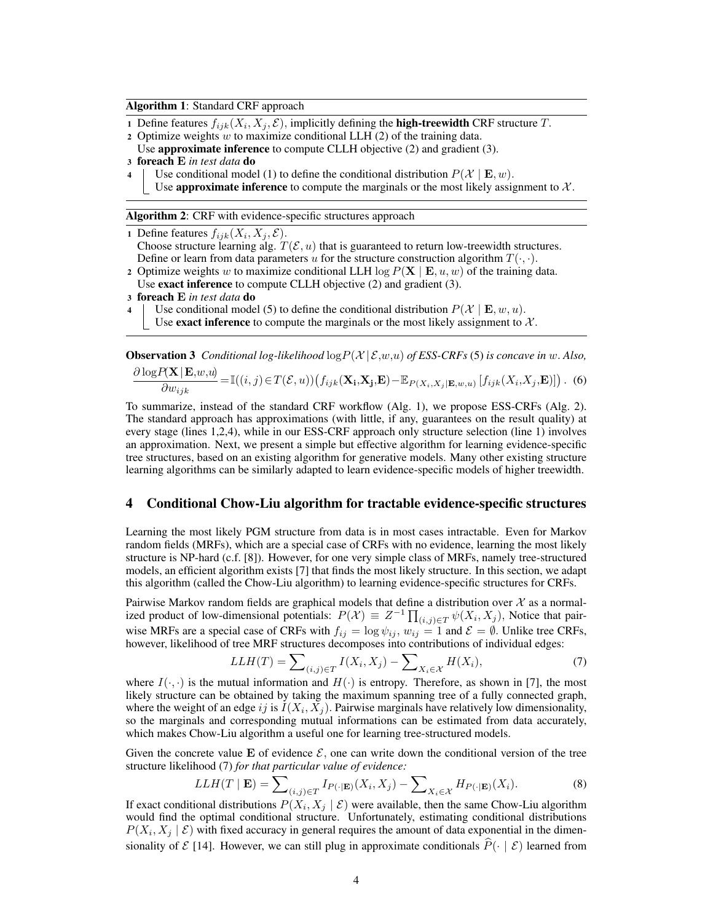#### Algorithm 1: Standard CRF approach

- 1 Define features  $f_{ijk}(X_i, X_j, \mathcal{E})$ , implicitly defining the **high-treewidth CRF** structure  $T$ .
- 2 Optimize weights  $w$  to maximize conditional LLH  $(2)$  of the training data.
- Use **approximate inference** to compute CLLH objective (2) and gradient (3).
- <sup>3</sup> foreach E *in test data* do
- 4 Use conditional model (1) to define the conditional distribution  $P(\mathcal{X} | \mathbf{E}, w)$ .
	- Use **approximate inference** to compute the marginals or the most likely assignment to  $\mathcal{X}$ .

Algorithm 2: CRF with evidence-specific structures approach

1 Define features  $f_{iik}(X_i, X_j, \mathcal{E})$ .

- Choose structure learning alg.  $T(\mathcal{E}, u)$  that is guaranteed to return low-treewidth structures. Define or learn from data parameters u for the structure construction algorithm  $T(\cdot, \cdot)$ .
- 2 Optimize weights w to maximize conditional LLH  $\log P(X \mid E, u, w)$  of the training data. Use **exact inference** to compute CLLH objective (2) and gradient (3).
- <sup>3</sup> foreach E *in test data* do
- Use conditional model (5) to define the conditional distribution  $P(\mathcal{X} | \mathbf{E}, w, u)$ .

Use **exact inference** to compute the marginals or the most likely assignment to  $\mathcal{X}$ .

**Observation 3** *Conditional log-likelihood*  $\log P(\mathcal{X} | \mathcal{E}, w, u)$  *of ESS-CRFs* (5) *is concave in* w. *Also*,

$$
\frac{\partial \log P(\mathbf{X} \mid \mathbf{E}, w, u)}{\partial w_{ijk}} = \mathbb{I}((i, j) \in T(\mathcal{E}, u)) \left( f_{ijk}(\mathbf{X_i}, \mathbf{X_j}, \mathbf{E}) - \mathbb{E}_{P(X_i, X_j \mid \mathbf{E}, w, u)} \left[ f_{ijk}(X_i, X_j, \mathbf{E}) \right] \right). \tag{6}
$$

To summarize, instead of the standard CRF workflow (Alg. 1), we propose ESS-CRFs (Alg. 2). The standard approach has approximations (with little, if any, guarantees on the result quality) at every stage (lines 1,2,4), while in our ESS-CRF approach only structure selection (line 1) involves an approximation. Next, we present a simple but effective algorithm for learning evidence-specific tree structures, based on an existing algorithm for generative models. Many other existing structure learning algorithms can be similarly adapted to learn evidence-specific models of higher treewidth.

#### 4 Conditional Chow-Liu algorithm for tractable evidence-specific structures

Learning the most likely PGM structure from data is in most cases intractable. Even for Markov random fields (MRFs), which are a special case of CRFs with no evidence, learning the most likely structure is NP-hard (c.f. [8]). However, for one very simple class of MRFs, namely tree-structured models, an efficient algorithm exists [7] that finds the most likely structure. In this section, we adapt this algorithm (called the Chow-Liu algorithm) to learning evidence-specific structures for CRFs.

Pairwise Markov random fields are graphical models that define a distribution over  $\mathcal X$  as a normalized product of low-dimensional potentials:  $P(\mathcal{X}) \equiv Z^{-1} \prod_{(i,j) \in T} \psi(X_i, X_j)$ , Notice that pairwise MRFs are a special case of CRFs with  $f_{ij} = \log \psi_{ij}$ ,  $w_{ij} = 1$  and  $\mathcal{E} = \emptyset$ . Unlike tree CRFs, however, likelihood of tree MRF structures decomposes into contributions of individual edges:

$$
LLH(T) = \sum_{(i,j)\in T} I(X_i, X_j) - \sum_{X_i \in \mathcal{X}} H(X_i),\tag{7}
$$

where  $I(\cdot, \cdot)$  is the mutual information and  $H(\cdot)$  is entropy. Therefore, as shown in [7], the most likely structure can be obtained by taking the maximum spanning tree of a fully connected graph, where the weight of an edge ij is  $I(X_i, X_j)$ . Pairwise marginals have relatively low dimensionality, so the marginals and corresponding mutual informations can be estimated from data accurately, which makes Chow-Liu algorithm a useful one for learning tree-structured models.

Given the concrete value E of evidence  $\mathcal{E}$ , one can write down the conditional version of the tree structure likelihood (7) *for that particular value of evidence:*

$$
LLH(T \mid \mathbf{E}) = \sum_{(i,j) \in T} I_{P(\cdot | \mathbf{E})}(X_i, X_j) - \sum_{X_i \in \mathcal{X}} H_{P(\cdot | \mathbf{E})}(X_i).
$$
 (8)

If exact conditional distributions  $P(X_i, X_j | \mathcal{E})$  were available, then the same Chow-Liu algorithm would find the optimal conditional structure. Unfortunately, estimating conditional distributions  $P(X_i, X_j | \mathcal{E})$  with fixed accuracy in general requires the amount of data exponential in the dimensionality of  $\mathcal{E}$  [14]. However, we can still plug in approximate conditionals  $\hat{P}(\cdot \mid \mathcal{E})$  learned from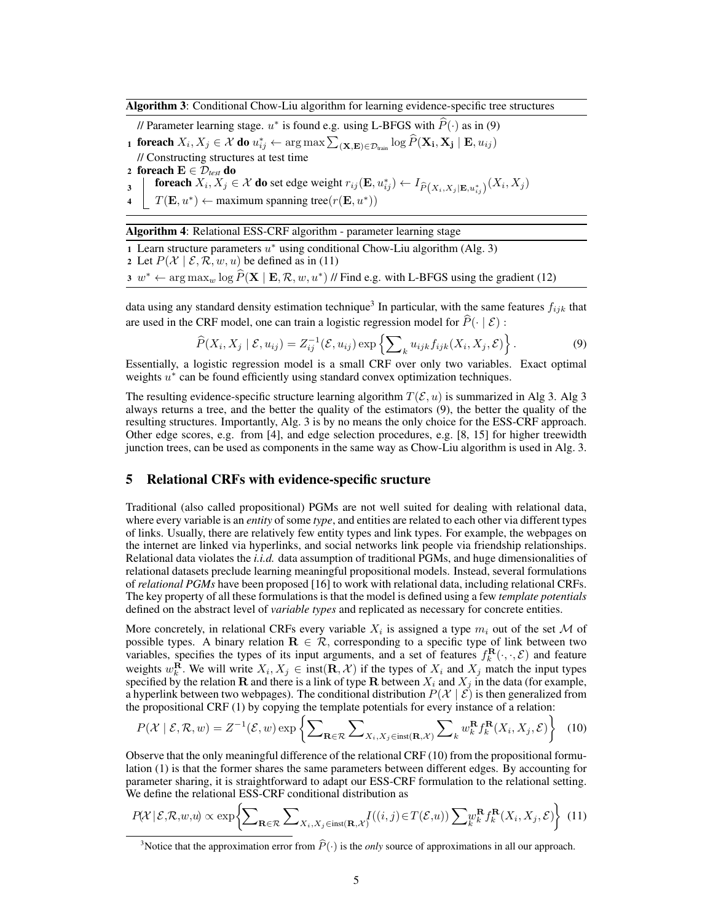Algorithm 3: Conditional Chow-Liu algorithm for learning evidence-specific tree structures

// Parameter learning stage.  $u^*$  is found e.g. using L-BFGS with  $\widehat{P}(\cdot)$  as in (9) <sub>1</sub> foreach  $X_i, X_j \in \mathcal{X}$  do  $u_{ij}^* \leftarrow \argmax \sum_{(\mathbf{X}, \mathbf{E}) \in \mathcal{D}_{\text{train}}} \log \widehat{P}(\mathbf{X_i}, \mathbf{X_j} \mid \mathbf{E}, u_{ij})$ // Constructing structures at test time 2 foreach  $\mathbf{E} \in \mathcal{D}_{\text{test}}$  do foreach  $X_i, X_j \in \mathcal{X}$  do set edge weight  $r_{ij}(\mathbf{E},u_{ij}^*) \leftarrow I_{\widehat{P}(X_i,X_j|\mathbf{E},u_{ij}^*)}(X_i,X_j)$ 3 4  $T(\mathbf{E}, u^*) \leftarrow$  maximum spanning tree $(r(\mathbf{E}, u^*))$ 

Algorithm 4: Relational ESS-CRF algorithm - parameter learning stage

1 Learn structure parameters  $u^*$  using conditional Chow-Liu algorithm (Alg. 3)

2 Let  $P(X \mid \mathcal{E}, \mathcal{R}, w, u)$  be defined as in (11)

3  $w^* \leftarrow \arg \max_w \log \widehat{P}(\mathbf{X} \mid \mathbf{E}, \mathcal{R}, w, u^*)$  // Find e.g. with L-BFGS using the gradient (12)

data using any standard density estimation technique<sup>3</sup> In particular, with the same features  $f_{ijk}$  that are used in the CRF model, one can train a logistic regression model for  $\widehat{P}(\cdot | \mathcal{E})$ :

$$
\widehat{P}(X_i, X_j \mid \mathcal{E}, u_{ij}) = Z_{ij}^{-1}(\mathcal{E}, u_{ij}) \exp\left\{ \sum\nolimits_k u_{ijk} f_{ijk}(X_i, X_j, \mathcal{E}) \right\}.
$$
\n(9)

Essentially, a logistic regression model is a small CRF over only two variables. Exact optimal weights  $u^*$  can be found efficiently using standard convex optimization techniques.

The resulting evidence-specific structure learning algorithm  $T(\mathcal{E}, u)$  is summarized in Alg 3. Alg 3 always returns a tree, and the better the quality of the estimators (9), the better the quality of the resulting structures. Importantly, Alg. 3 is by no means the only choice for the ESS-CRF approach. Other edge scores, e.g. from [4], and edge selection procedures, e.g. [8, 15] for higher treewidth junction trees, can be used as components in the same way as Chow-Liu algorithm is used in Alg. 3.

## 5 Relational CRFs with evidence-specific sructure

Traditional (also called propositional) PGMs are not well suited for dealing with relational data, where every variable is an *entity* of some *type*, and entities are related to each other via different types of links. Usually, there are relatively few entity types and link types. For example, the webpages on the internet are linked via hyperlinks, and social networks link people via friendship relationships. Relational data violates the *i.i.d.* data assumption of traditional PGMs, and huge dimensionalities of relational datasets preclude learning meaningful propositional models. Instead, several formulations of *relational PGMs* have been proposed [16] to work with relational data, including relational CRFs. The key property of all these formulations is that the model is defined using a few *template potentials* defined on the abstract level of *variable types* and replicated as necessary for concrete entities.

More concretely, in relational CRFs every variable  $X_i$  is assigned a type  $m_i$  out of the set M of possible types. A binary relation  $\mathbf{R} \in \mathcal{R}$ , corresponding to a specific type of link between two variables, specifies the types of its input arguments, and a set of features  $f_k^{\mathbf{R}}(\cdot,\cdot,\mathcal{E})$  and feature weights  $w_k^{\mathbf{R}}$ . We will write  $X_i, X_j \in \text{inst}(\mathbf{R}, \mathcal{X})$  if the types of  $X_i$  and  $X_j$  match the input types specified by the relation **R** and there is a link of type **R** between  $X_i$  and  $X_j$  in the data (for example, a hyperlink between two webpages). The conditional distribution  $P(\mathcal{X} \mid \mathcal{E})$  is then generalized from the propositional CRF (1) by copying the template potentials for every instance of a relation:

$$
P(\mathcal{X} \mid \mathcal{E}, \mathcal{R}, w) = Z^{-1}(\mathcal{E}, w) \exp \left\{ \sum_{\mathbf{R} \in \mathcal{R}} \sum_{X_i, X_j \in \text{inst}(\mathbf{R}, \mathcal{X})} \sum_{k} w_k^{\mathbf{R}} f_k^{\mathbf{R}}(X_i, X_j, \mathcal{E}) \right\}
$$
(10)

Observe that the only meaningful difference of the relational CRF (10) from the propositional formulation (1) is that the former shares the same parameters between different edges. By accounting for parameter sharing, it is straightforward to adapt our ESS-CRF formulation to the relational setting. We define the relational ESS-CRF conditional distribution as

$$
P(X \mid \mathcal{E}, \mathcal{R}, w, u) \propto \exp\left\{ \sum_{\mathbf{R} \in \mathcal{R}} \sum_{X_i, X_j \in \text{inst}(\mathbf{R}, \mathcal{X})} I((i, j) \in T(\mathcal{E}, u)) \sum_{k} w_k^{\mathbf{R}} f_k^{\mathbf{R}}(X_i, X_j, \mathcal{E}) \right\}
$$
(11)

<sup>&</sup>lt;sup>3</sup>Notice that the approximation error from  $\hat{P}(\cdot)$  is the *only* source of approximations in all our approach.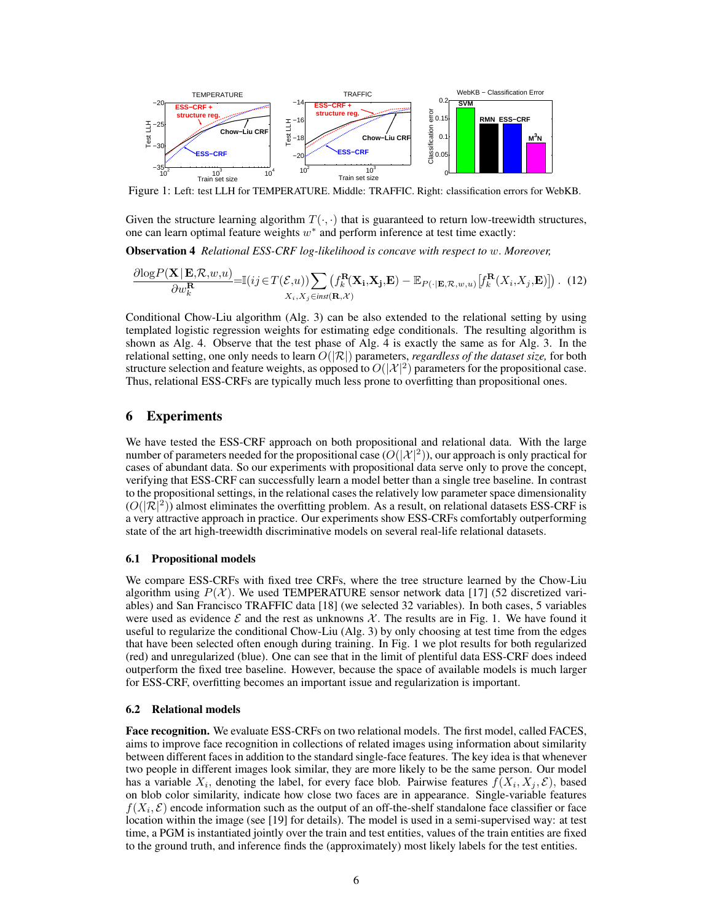

Figure 1: Left: test LLH for TEMPERATURE. Middle: TRAFFIC. Right: classification errors for WebKB.

Given the structure learning algorithm  $T(\cdot, \cdot)$  that is guaranteed to return low-treewidth structures, one can learn optimal feature weights  $w^*$  and perform inference at test time exactly:

Observation 4 *Relational ESS-CRF log-likelihood is concave with respect to* w. *Moreover,*

$$
\frac{\partial \log P(\mathbf{X} | \mathbf{E}, \mathcal{R}, w, u)}{\partial w_k^{\mathbf{R}}} = \mathbb{I}(ij \in T(\mathcal{E}, u)) \sum_{X_i, X_j \in inst(\mathbf{R}, \mathcal{X})} (f_k^{\mathbf{R}}(\mathbf{X}_i, \mathbf{X}_j, \mathbf{E}) - \mathbb{E}_{P(\cdot | \mathbf{E}, \mathcal{R}, w, u)} [f_k^{\mathbf{R}}(X_i, X_j, \mathbf{E})]). \tag{12}
$$

Conditional Chow-Liu algorithm (Alg. 3) can be also extended to the relational setting by using templated logistic regression weights for estimating edge conditionals. The resulting algorithm is shown as Alg. 4. Observe that the test phase of Alg. 4 is exactly the same as for Alg. 3. In the relational setting, one only needs to learn  $O(|\mathcal{R}|)$  parameters, *regardless of the dataset size*, for both structure selection and feature weights, as opposed to  $O(|\mathcal{X}|^2)$  parameters for the propositional case. Thus, relational ESS-CRFs are typically much less prone to overfitting than propositional ones.

## 6 Experiments

We have tested the ESS-CRF approach on both propositional and relational data. With the large number of parameters needed for the propositional case  $(O(|\mathcal{X}|^2))$ , our approach is only practical for cases of abundant data. So our experiments with propositional data serve only to prove the concept, verifying that ESS-CRF can successfully learn a model better than a single tree baseline. In contrast to the propositional settings, in the relational cases the relatively low parameter space dimensionality  $(O(|\mathcal{R}|^2))$  almost eliminates the overfitting problem. As a result, on relational datasets ESS-CRF is a very attractive approach in practice. Our experiments show ESS-CRFs comfortably outperforming state of the art high-treewidth discriminative models on several real-life relational datasets.

#### 6.1 Propositional models

We compare ESS-CRFs with fixed tree CRFs, where the tree structure learned by the Chow-Liu algorithm using  $P(X)$ . We used TEMPERATURE sensor network data [17] (52 discretized variables) and San Francisco TRAFFIC data [18] (we selected 32 variables). In both cases, 5 variables were used as evidence  $\mathcal E$  and the rest as unknowns  $\mathcal X$ . The results are in Fig. 1. We have found it useful to regularize the conditional Chow-Liu (Alg. 3) by only choosing at test time from the edges that have been selected often enough during training. In Fig. 1 we plot results for both regularized (red) and unregularized (blue). One can see that in the limit of plentiful data ESS-CRF does indeed outperform the fixed tree baseline. However, because the space of available models is much larger for ESS-CRF, overfitting becomes an important issue and regularization is important.

#### 6.2 Relational models

Face recognition. We evaluate ESS-CRFs on two relational models. The first model, called FACES, aims to improve face recognition in collections of related images using information about similarity between different faces in addition to the standard single-face features. The key idea is that whenever two people in different images look similar, they are more likely to be the same person. Our model has a variable  $X_i$ , denoting the label, for every face blob. Pairwise features  $f(X_i, X_j, \mathcal{E})$ , based on blob color similarity, indicate how close two faces are in appearance. Single-variable features  $f(X_i, \mathcal{E})$  encode information such as the output of an off-the-shelf standalone face classifier or face location within the image (see [19] for details). The model is used in a semi-supervised way: at test time, a PGM is instantiated jointly over the train and test entities, values of the train entities are fixed to the ground truth, and inference finds the (approximately) most likely labels for the test entities.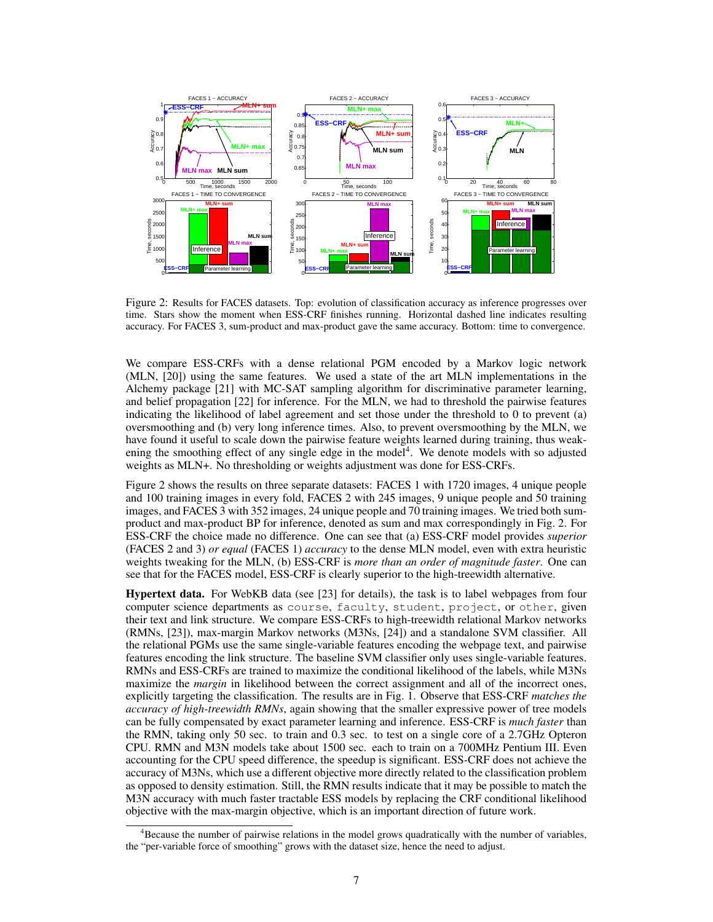

Figure 2: Results for FACES datasets. Top: evolution of classification accuracy as inference progresses over time. Stars show the moment when ESS-CRF finishes running. Horizontal dashed line indicates resulting accuracy. For FACES 3, sum-product and max-product gave the same accuracy. Bottom: time to convergence.

We compare ESS-CRFs with a dense relational PGM encoded by a Markov logic network (MLN, [20]) using the same features. We used a state of the art MLN implementations in the Alchemy package [21] with MC-SAT sampling algorithm for discriminative parameter learning, and belief propagation [22] for inference. For the MLN, we had to threshold the pairwise features indicating the likelihood of label agreement and set those under the threshold to 0 to prevent (a) oversmoothing and (b) very long inference times. Also, to prevent oversmoothing by the MLN, we have found it useful to scale down the pairwise feature weights learned during training, thus weakening the smoothing effect of any single edge in the model<sup>4</sup>. We denote models with so adjusted weights as MLN+. No thresholding or weights adjustment was done for ESS-CRFs.

Figure 2 shows the results on three separate datasets: FACES 1 with 1720 images, 4 unique people and 100 training images in every fold, FACES 2 with 245 images, 9 unique people and 50 training images, and FACES 3 with 352 images, 24 unique people and 70 training images. We tried both sumproduct and max-product BP for inference, denoted as sum and max correspondingly in Fig. 2. For ESS-CRF the choice made no difference. One can see that (a) ESS-CRF model provides *superior* (FACES 2 and 3) *or equal* (FACES 1) *accuracy* to the dense MLN model, even with extra heuristic weights tweaking for the MLN, (b) ESS-CRF is *more than an order of magnitude faster*. One can see that for the FACES model, ESS-CRF is clearly superior to the high-treewidth alternative.

Hypertext data. For WebKB data (see [23] for details), the task is to label webpages from four computer science departments as course, faculty, student, project, or other, given their text and link structure. We compare ESS-CRFs to high-treewidth relational Markov networks (RMNs, [23]), max-margin Markov networks (M3Ns, [24]) and a standalone SVM classifier. All the relational PGMs use the same single-variable features encoding the webpage text, and pairwise features encoding the link structure. The baseline SVM classifier only uses single-variable features. RMNs and ESS-CRFs are trained to maximize the conditional likelihood of the labels, while M3Ns maximize the *margin* in likelihood between the correct assignment and all of the incorrect ones, explicitly targeting the classification. The results are in Fig. 1. Observe that ESS-CRF *matches the accuracy of high-treewidth RMNs*, again showing that the smaller expressive power of tree models can be fully compensated by exact parameter learning and inference. ESS-CRF is *much faster* than the RMN, taking only 50 sec. to train and 0.3 sec. to test on a single core of a 2.7GHz Opteron CPU. RMN and M3N models take about 1500 sec. each to train on a 700MHz Pentium III. Even accounting for the CPU speed difference, the speedup is significant. ESS-CRF does not achieve the accuracy of M3Ns, which use a different objective more directly related to the classification problem as opposed to density estimation. Still, the RMN results indicate that it may be possible to match the M3N accuracy with much faster tractable ESS models by replacing the CRF conditional likelihood objective with the max-margin objective, which is an important direction of future work.

<sup>&</sup>lt;sup>4</sup>Because the number of pairwise relations in the model grows quadratically with the number of variables, the "per-variable force of smoothing" grows with the dataset size, hence the need to adjust.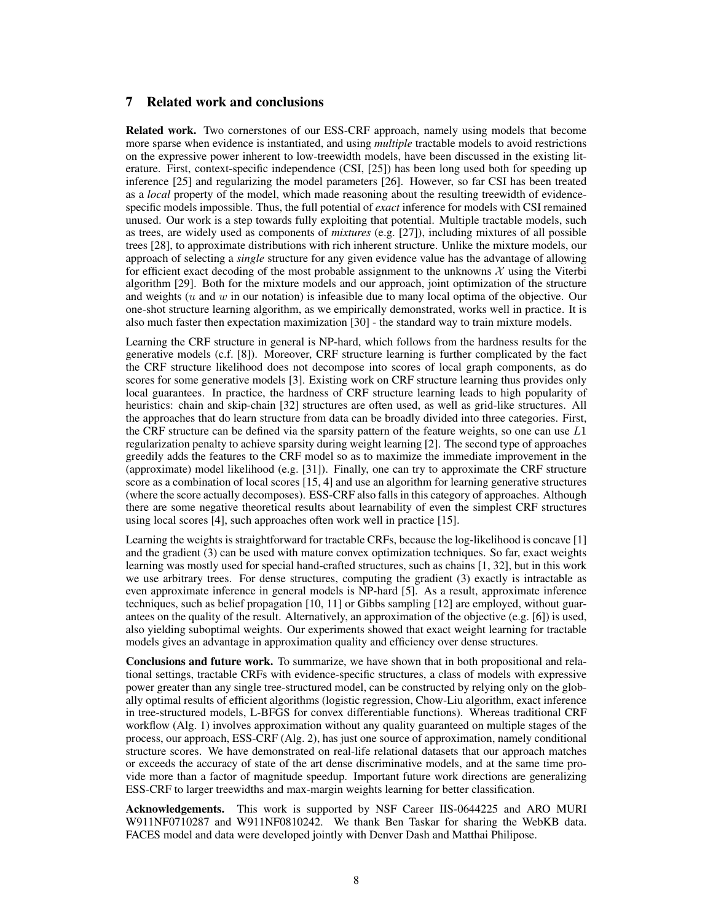# 7 Related work and conclusions

Related work. Two cornerstones of our ESS-CRF approach, namely using models that become more sparse when evidence is instantiated, and using *multiple* tractable models to avoid restrictions on the expressive power inherent to low-treewidth models, have been discussed in the existing literature. First, context-specific independence (CSI, [25]) has been long used both for speeding up inference [25] and regularizing the model parameters [26]. However, so far CSI has been treated as a *local* property of the model, which made reasoning about the resulting treewidth of evidencespecific models impossible. Thus, the full potential of *exact* inference for models with CSI remained unused. Our work is a step towards fully exploiting that potential. Multiple tractable models, such as trees, are widely used as components of *mixtures* (e.g. [27]), including mixtures of all possible trees [28], to approximate distributions with rich inherent structure. Unlike the mixture models, our approach of selecting a *single* structure for any given evidence value has the advantage of allowing for efficient exact decoding of the most probable assignment to the unknowns  $\mathcal X$  using the Viterbi algorithm [29]. Both for the mixture models and our approach, joint optimization of the structure and weights ( $u$  and  $w$  in our notation) is infeasible due to many local optima of the objective. Our one-shot structure learning algorithm, as we empirically demonstrated, works well in practice. It is also much faster then expectation maximization [30] - the standard way to train mixture models.

Learning the CRF structure in general is NP-hard, which follows from the hardness results for the generative models (c.f. [8]). Moreover, CRF structure learning is further complicated by the fact the CRF structure likelihood does not decompose into scores of local graph components, as do scores for some generative models [3]. Existing work on CRF structure learning thus provides only local guarantees. In practice, the hardness of CRF structure learning leads to high popularity of heuristics: chain and skip-chain [32] structures are often used, as well as grid-like structures. All the approaches that do learn structure from data can be broadly divided into three categories. First, the CRF structure can be defined via the sparsity pattern of the feature weights, so one can use  $L1$ regularization penalty to achieve sparsity during weight learning [2]. The second type of approaches greedily adds the features to the CRF model so as to maximize the immediate improvement in the (approximate) model likelihood (e.g. [31]). Finally, one can try to approximate the CRF structure score as a combination of local scores [15, 4] and use an algorithm for learning generative structures (where the score actually decomposes). ESS-CRF also falls in this category of approaches. Although there are some negative theoretical results about learnability of even the simplest CRF structures using local scores [4], such approaches often work well in practice [15].

Learning the weights is straightforward for tractable CRFs, because the log-likelihood is concave [1] and the gradient (3) can be used with mature convex optimization techniques. So far, exact weights learning was mostly used for special hand-crafted structures, such as chains [1, 32], but in this work we use arbitrary trees. For dense structures, computing the gradient (3) exactly is intractable as even approximate inference in general models is NP-hard [5]. As a result, approximate inference techniques, such as belief propagation [10, 11] or Gibbs sampling [12] are employed, without guarantees on the quality of the result. Alternatively, an approximation of the objective (e.g. [6]) is used, also yielding suboptimal weights. Our experiments showed that exact weight learning for tractable models gives an advantage in approximation quality and efficiency over dense structures.

Conclusions and future work. To summarize, we have shown that in both propositional and relational settings, tractable CRFs with evidence-specific structures, a class of models with expressive power greater than any single tree-structured model, can be constructed by relying only on the globally optimal results of efficient algorithms (logistic regression, Chow-Liu algorithm, exact inference in tree-structured models, L-BFGS for convex differentiable functions). Whereas traditional CRF workflow (Alg. 1) involves approximation without any quality guaranteed on multiple stages of the process, our approach, ESS-CRF (Alg. 2), has just one source of approximation, namely conditional structure scores. We have demonstrated on real-life relational datasets that our approach matches or exceeds the accuracy of state of the art dense discriminative models, and at the same time provide more than a factor of magnitude speedup. Important future work directions are generalizing ESS-CRF to larger treewidths and max-margin weights learning for better classification.

Acknowledgements. This work is supported by NSF Career IIS-0644225 and ARO MURI W911NF0710287 and W911NF0810242. We thank Ben Taskar for sharing the WebKB data. FACES model and data were developed jointly with Denver Dash and Matthai Philipose.